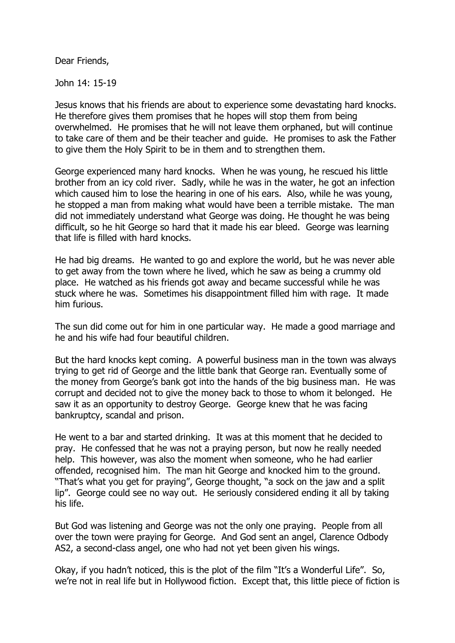Dear Friends,

John 14: 15-19

Jesus knows that his friends are about to experience some devastating hard knocks. He therefore gives them promises that he hopes will stop them from being overwhelmed. He promises that he will not leave them orphaned, but will continue to take care of them and be their teacher and guide. He promises to ask the Father to give them the Holy Spirit to be in them and to strengthen them.

George experienced many hard knocks. When he was young, he rescued his little brother from an icy cold river. Sadly, while he was in the water, he got an infection which caused him to lose the hearing in one of his ears. Also, while he was young, he stopped a man from making what would have been a terrible mistake. The man did not immediately understand what George was doing. He thought he was being difficult, so he hit George so hard that it made his ear bleed. George was learning that life is filled with hard knocks.

He had big dreams. He wanted to go and explore the world, but he was never able to get away from the town where he lived, which he saw as being a crummy old place. He watched as his friends got away and became successful while he was stuck where he was. Sometimes his disappointment filled him with rage. It made him furious.

The sun did come out for him in one particular way. He made a good marriage and he and his wife had four beautiful children.

But the hard knocks kept coming. A powerful business man in the town was always trying to get rid of George and the little bank that George ran. Eventually some of the money from George's bank got into the hands of the big business man. He was corrupt and decided not to give the money back to those to whom it belonged. He saw it as an opportunity to destroy George. George knew that he was facing bankruptcy, scandal and prison.

He went to a bar and started drinking. It was at this moment that he decided to pray. He confessed that he was not a praying person, but now he really needed help. This however, was also the moment when someone, who he had earlier offended, recognised him. The man hit George and knocked him to the ground. "That's what you get for praying", George thought, "a sock on the jaw and a split lip". George could see no way out. He seriously considered ending it all by taking his life.

But God was listening and George was not the only one praying. People from all over the town were praying for George. And God sent an angel, Clarence Odbody AS2, a second-class angel, one who had not yet been given his wings.

Okay, if you hadn't noticed, this is the plot of the film "It's a Wonderful Life". So, we're not in real life but in Hollywood fiction. Except that, this little piece of fiction is